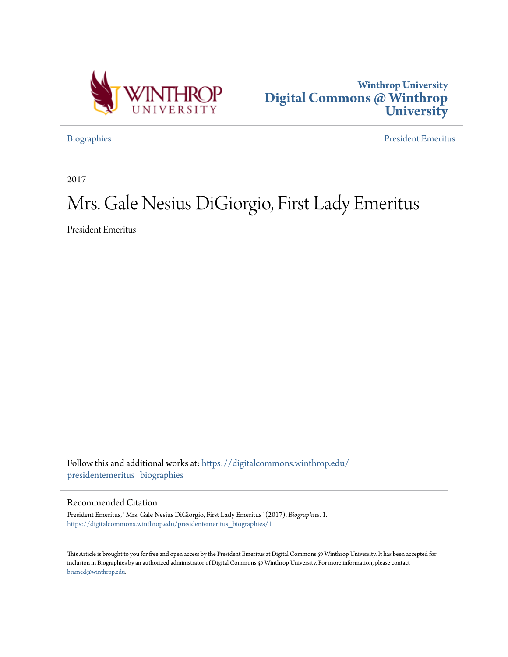



[Biographies](https://digitalcommons.winthrop.edu/presidentemeritus_biographies?utm_source=digitalcommons.winthrop.edu%2Fpresidentemeritus_biographies%2F1&utm_medium=PDF&utm_campaign=PDFCoverPages) [President Emeritus](https://digitalcommons.winthrop.edu/presidentemeritus?utm_source=digitalcommons.winthrop.edu%2Fpresidentemeritus_biographies%2F1&utm_medium=PDF&utm_campaign=PDFCoverPages)

2017

## Mrs. Gale Nesius DiGiorgio, First Lady Emeritus

President Emeritus

Follow this and additional works at: [https://digitalcommons.winthrop.edu/](https://digitalcommons.winthrop.edu/presidentemeritus_biographies?utm_source=digitalcommons.winthrop.edu%2Fpresidentemeritus_biographies%2F1&utm_medium=PDF&utm_campaign=PDFCoverPages) [presidentemeritus\\_biographies](https://digitalcommons.winthrop.edu/presidentemeritus_biographies?utm_source=digitalcommons.winthrop.edu%2Fpresidentemeritus_biographies%2F1&utm_medium=PDF&utm_campaign=PDFCoverPages)

## Recommended Citation

President Emeritus, "Mrs. Gale Nesius DiGiorgio, First Lady Emeritus" (2017). *Biographies*. 1. [https://digitalcommons.winthrop.edu/presidentemeritus\\_biographies/1](https://digitalcommons.winthrop.edu/presidentemeritus_biographies/1?utm_source=digitalcommons.winthrop.edu%2Fpresidentemeritus_biographies%2F1&utm_medium=PDF&utm_campaign=PDFCoverPages)

This Article is brought to you for free and open access by the President Emeritus at Digital Commons @ Winthrop University. It has been accepted for inclusion in Biographies by an authorized administrator of Digital Commons @ Winthrop University. For more information, please contact [bramed@winthrop.edu.](mailto:bramed@winthrop.edu)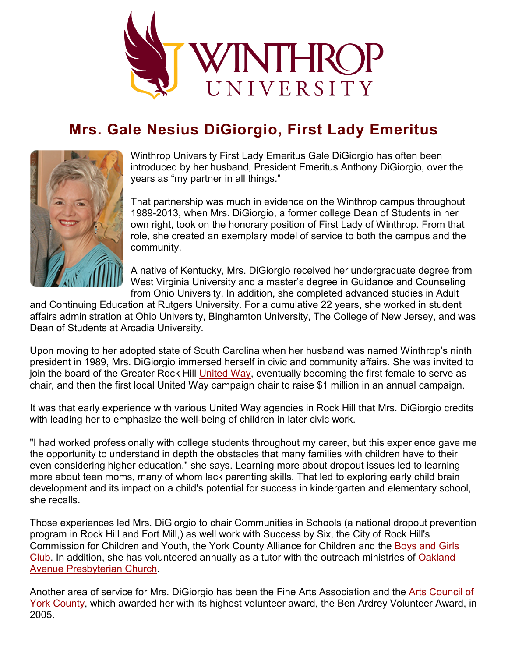

## **Mrs. Gale Nesius DiGiorgio, First Lady Emeritus**



Winthrop University First Lady Emeritus Gale DiGiorgio has often been introduced by her husband, President Emeritus Anthony DiGiorgio, over the years as "my partner in all things."

That partnership was much in evidence on the Winthrop campus throughout 1989-2013, when Mrs. DiGiorgio, a former college Dean of Students in her own right, took on the honorary position of First Lady of Winthrop. From that role, she created an exemplary model of service to both the campus and the community.

A native of Kentucky, Mrs. DiGiorgio received her undergraduate degree from West Virginia University and a master's degree in Guidance and Counseling from Ohio University. In addition, she completed advanced studies in Adult

and Continuing Education at Rutgers University. For a cumulative 22 years, she worked in student affairs administration at Ohio University, Binghamton University, The College of New Jersey, and was Dean of Students at Arcadia University.

Upon moving to her adopted state of South Carolina when her husband was named Winthrop's ninth president in 1989, Mrs. DiGiorgio immersed herself in civic and community affairs. She was invited to join the board of the Greater Rock Hill [United Way,](http://www.unitedwayofyc.org/) eventually becoming the first female to serve as chair, and then the first local United Way campaign chair to raise \$1 million in an annual campaign.

It was that early experience with various United Way agencies in Rock Hill that Mrs. DiGiorgio credits with leading her to emphasize the well-being of children in later civic work.

"I had worked professionally with college students throughout my career, but this experience gave me the opportunity to understand in depth the obstacles that many families with children have to their even considering higher education," she says. Learning more about dropout issues led to learning more about teen moms, many of whom lack parenting skills. That led to exploring early child brain development and its impact on a child's potential for success in kindergarten and elementary school, she recalls.

Those experiences led Mrs. DiGiorgio to chair Communities in Schools (a national dropout prevention program in Rock Hill and Fort Mill,) as well work with Success by Six, the City of Rock Hill's Commission for Children and Youth, the York County Alliance for Children and the [Boys and Girls](http://www.bgcyc.org/)  [Club.](http://www.bgcyc.org/) In addition, she has volunteered annually as a tutor with the outreach ministries of [Oakland](http://www.oapc.net/)  [Avenue Presbyterian Church.](http://www.oapc.net/)

Another area of service for Mrs. DiGiorgio has been the Fine Arts Association and the [Arts Council of](http://www.yorkcountyarts.org/)  [York County,](http://www.yorkcountyarts.org/) which awarded her with its highest volunteer award, the Ben Ardrey Volunteer Award, in 2005.